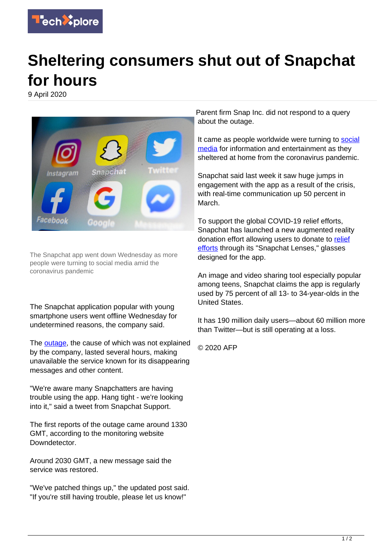

## **Sheltering consumers shut out of Snapchat for hours**

9 April 2020



The Snapchat app went down Wednesday as more people were turning to social media amid the coronavirus pandemic

The Snapchat application popular with young smartphone users went offline Wednesday for undetermined reasons, the company said.

The [outage](https://techxplore.com/tags/outage/), the cause of which was not explained by the company, lasted several hours, making unavailable the service known for its disappearing messages and other content.

"We're aware many Snapchatters are having trouble using the app. Hang tight - we're looking into it," said a tweet from Snapchat Support.

The first reports of the outage came around 1330 GMT, according to the monitoring website Downdetector.

Around 2030 GMT, a new message said the service was restored.

"We've patched things up," the updated post said. "If you're still having trouble, please let us know!"

Parent firm Snap Inc. did not respond to a query about the outage.

It came as people worldwide were turning to [social](https://techxplore.com/tags/social+media/) [media](https://techxplore.com/tags/social+media/) for information and entertainment as they sheltered at home from the coronavirus pandemic.

Snapchat said last week it saw huge jumps in engagement with the app as a result of the crisis, with real-time communication up 50 percent in March.

To support the global COVID-19 relief efforts, Snapchat has launched a new augmented reality donation effort allowing users to donate to [relief](https://techxplore.com/tags/relief+efforts/) [efforts](https://techxplore.com/tags/relief+efforts/) through its "Snapchat Lenses," glasses designed for the app.

An image and video sharing tool especially popular among teens, Snapchat claims the app is regularly used by 75 percent of all 13- to 34-year-olds in the United States.

It has 190 million daily users—about 60 million more than Twitter—but is still operating at a loss.

© 2020 AFP